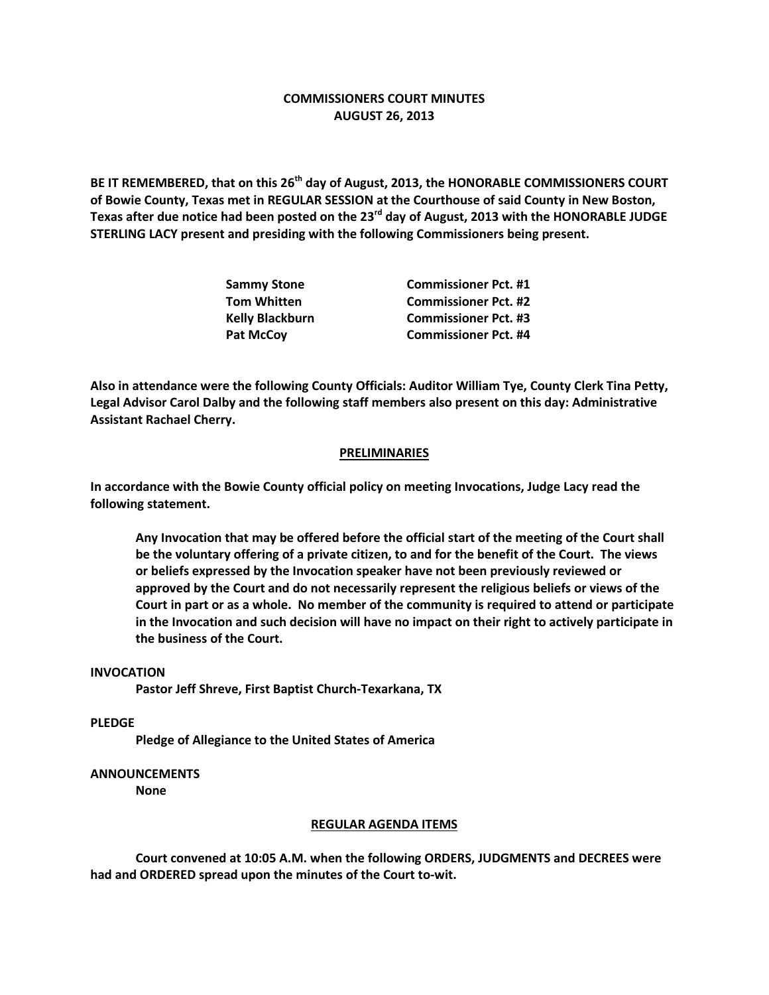# **COMMISSIONERS COURT MINUTES AUGUST 26, 2013**

**BE IT REMEMBERED, that on this 26th day of August, 2013, the HONORABLE COMMISSIONERS COURT of Bowie County, Texas met in REGULAR SESSION at the Courthouse of said County in New Boston, Texas after due notice had been posted on the 23rd day of August, 2013 with the HONORABLE JUDGE STERLING LACY present and presiding with the following Commissioners being present.**

| <b>Sammy Stone</b>     | <b>Commissioner Pct. #1</b> |
|------------------------|-----------------------------|
| <b>Tom Whitten</b>     | <b>Commissioner Pct. #2</b> |
| <b>Kelly Blackburn</b> | <b>Commissioner Pct. #3</b> |
| <b>Pat McCoy</b>       | <b>Commissioner Pct. #4</b> |

**Also in attendance were the following County Officials: Auditor William Tye, County Clerk Tina Petty, Legal Advisor Carol Dalby and the following staff members also present on this day: Administrative Assistant Rachael Cherry.**

### **PRELIMINARIES**

**In accordance with the Bowie County official policy on meeting Invocations, Judge Lacy read the following statement.**

**Any Invocation that may be offered before the official start of the meeting of the Court shall be the voluntary offering of a private citizen, to and for the benefit of the Court. The views or beliefs expressed by the Invocation speaker have not been previously reviewed or approved by the Court and do not necessarily represent the religious beliefs or views of the Court in part or as a whole. No member of the community is required to attend or participate in the Invocation and such decision will have no impact on their right to actively participate in the business of the Court.**

#### **INVOCATION**

**Pastor Jeff Shreve, First Baptist Church-Texarkana, TX**

**PLEDGE**

**Pledge of Allegiance to the United States of America**

# **ANNOUNCEMENTS**

**None**

#### **REGULAR AGENDA ITEMS**

**Court convened at 10:05 A.M. when the following ORDERS, JUDGMENTS and DECREES were had and ORDERED spread upon the minutes of the Court to-wit.**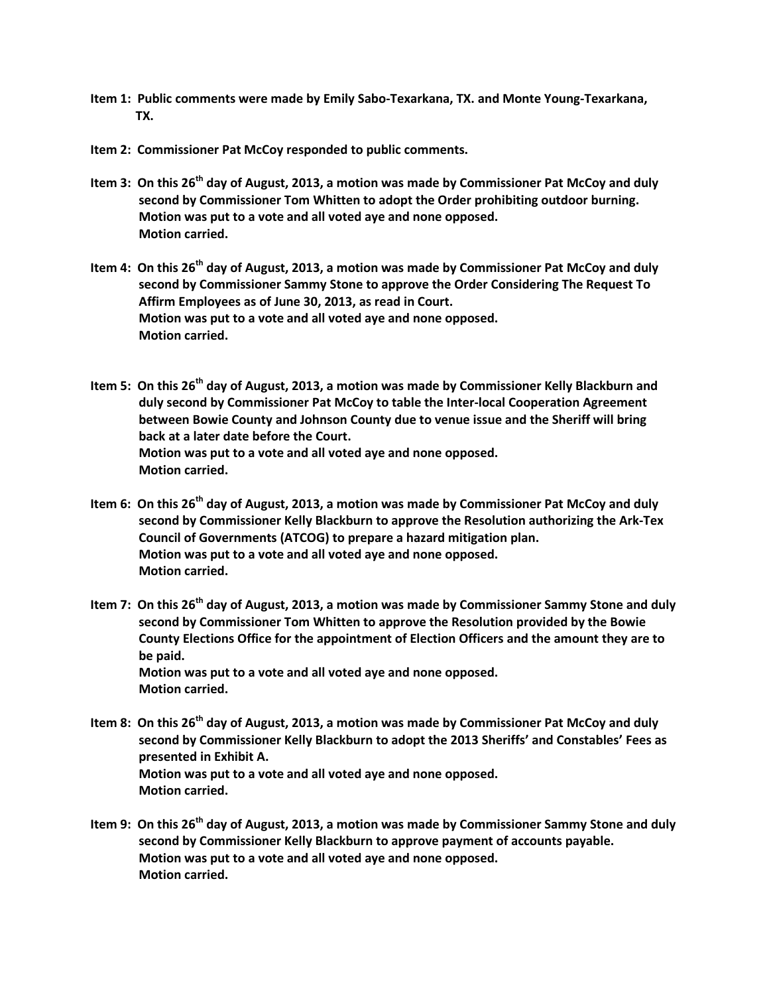- **Item 1: Public comments were made by Emily Sabo-Texarkana, TX. and Monte Young-Texarkana, TX.**
- **Item 2: Commissioner Pat McCoy responded to public comments.**
- **Item 3: On this 26th day of August, 2013, a motion was made by Commissioner Pat McCoy and duly second by Commissioner Tom Whitten to adopt the Order prohibiting outdoor burning. Motion was put to a vote and all voted aye and none opposed. Motion carried.**
- **Item 4: On this 26th day of August, 2013, a motion was made by Commissioner Pat McCoy and duly second by Commissioner Sammy Stone to approve the Order Considering The Request To Affirm Employees as of June 30, 2013, as read in Court. Motion was put to a vote and all voted aye and none opposed. Motion carried.**
- **Item 5: On this 26th day of August, 2013, a motion was made by Commissioner Kelly Blackburn and duly second by Commissioner Pat McCoy to table the Inter-local Cooperation Agreement between Bowie County and Johnson County due to venue issue and the Sheriff will bring back at a later date before the Court. Motion was put to a vote and all voted aye and none opposed. Motion carried.**
- **Item 6: On this 26th day of August, 2013, a motion was made by Commissioner Pat McCoy and duly second by Commissioner Kelly Blackburn to approve the Resolution authorizing the Ark-Tex Council of Governments (ATCOG) to prepare a hazard mitigation plan. Motion was put to a vote and all voted aye and none opposed. Motion carried.**
- **Item 7: On this 26th day of August, 2013, a motion was made by Commissioner Sammy Stone and duly second by Commissioner Tom Whitten to approve the Resolution provided by the Bowie County Elections Office for the appointment of Election Officers and the amount they are to be paid. Motion was put to a vote and all voted aye and none opposed. Motion carried.**
- **Item 8: On this 26th day of August, 2013, a motion was made by Commissioner Pat McCoy and duly second by Commissioner Kelly Blackburn to adopt the 2013 Sheriffs' and Constables' Fees as presented in Exhibit A. Motion was put to a vote and all voted aye and none opposed. Motion carried.**
- **Item 9: On this 26th day of August, 2013, a motion was made by Commissioner Sammy Stone and duly second by Commissioner Kelly Blackburn to approve payment of accounts payable. Motion was put to a vote and all voted aye and none opposed. Motion carried.**